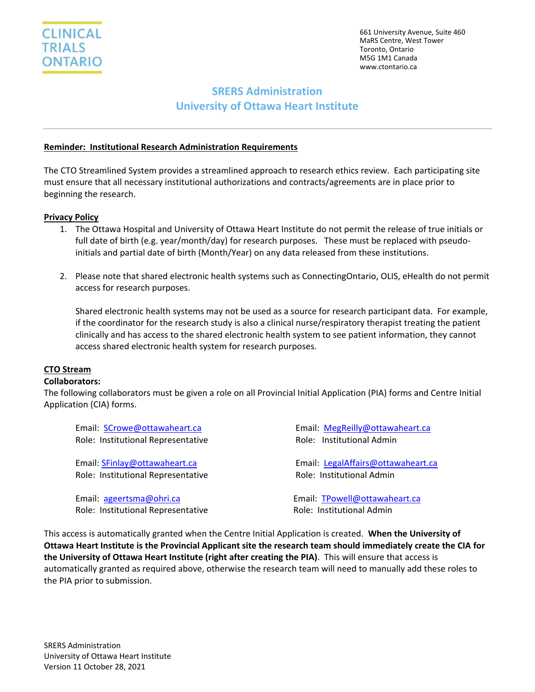661 University Avenue, Suite 460 MaRS Centre, West Tower Toronto, Ontario M5G 1M1 Canada www.ctontario.ca

# **SRERS Administration University of Ottawa Heart Institute**

## **Reminder: Institutional Research Administration Requirements**

The CTO Streamlined System provides a streamlined approach to research ethics review. Each participating site must ensure that all necessary institutional authorizations and contracts/agreements are in place prior to beginning the research.

#### **Privacy Policy**

- 1. The Ottawa Hospital and University of Ottawa Heart Institute do not permit the release of true initials or full date of birth (e.g. year/month/day) for research purposes. These must be replaced with pseudoinitials and partial date of birth (Month/Year) on any data released from these institutions.
- 2. Please note that shared electronic health systems such as ConnectingOntario, OLIS, eHealth do not permit access for research purposes.

Shared electronic health systems may not be used as a source for research participant data. For example, if the coordinator for the research study is also a clinical nurse/respiratory therapist treating the patient clinically and has access to the shared electronic health system to see patient information, they cannot access shared electronic health system for research purposes.

## **CTO Stream**

#### **Collaborators:**

The following collaborators must be given a role on all Provincial Initial Application (PIA) forms and Centre Initial Application (CIA) forms.

| Email: SCrowe@ottawaheart.ca       | Email: MegReilly@ottawaheart.ca    |
|------------------------------------|------------------------------------|
| Role: Institutional Representative | Role: Institutional Admin          |
|                                    |                                    |
| Email: SFinlay@ottawaheart.ca      | Email: LegalAffairs@ottawaheart.ca |
| Role: Institutional Representative | Role: Institutional Admin          |
|                                    |                                    |
| Email: ageertsma@ohri.ca           | Email: TPowell@ottawaheart.ca      |
| Role: Institutional Representative | Role: Institutional Admin          |

This access is automatically granted when the Centre Initial Application is created. **When the University of Ottawa Heart Institute is the Provincial Applicant site the research team should immediately create the CIA for the University of Ottawa Heart Institute (right after creating the PIA)**. This will ensure that access is automatically granted as required above, otherwise the research team will need to manually add these roles to the PIA prior to submission.